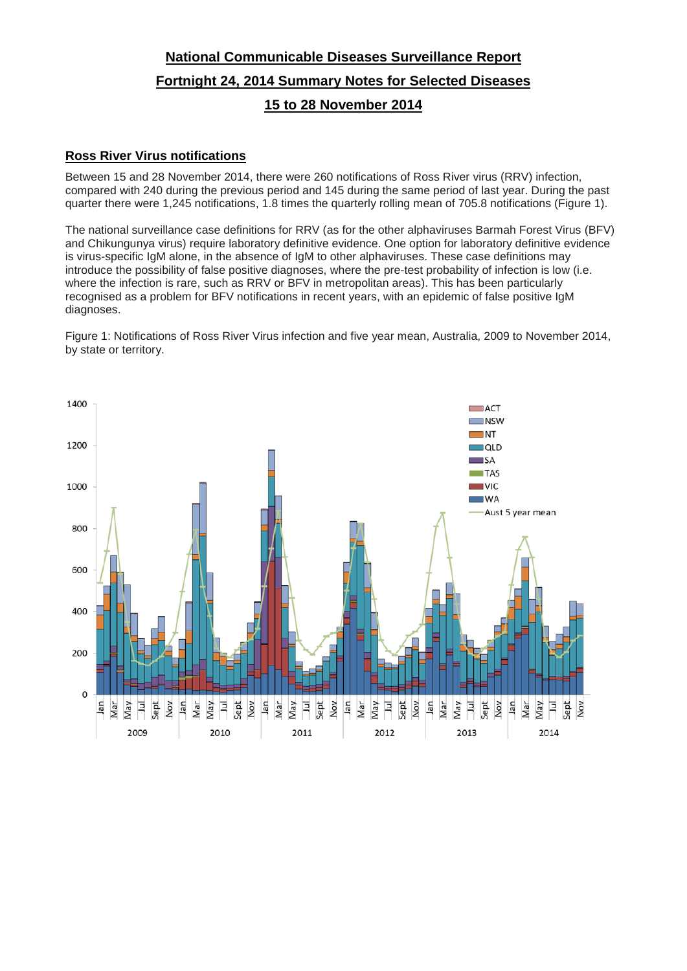# **National Communicable Diseases Surveillance Report Fortnight 24, 2014 Summary Notes for Selected Diseases 15 to 28 November 2014**

## **Ross River Virus notifications**

Between 15 and 28 November 2014, there were 260 notifications of Ross River virus (RRV) infection, compared with 240 during the previous period and 145 during the same period of last year. During the past quarter there were 1,245 notifications, 1.8 times the quarterly rolling mean of 705.8 notifications (Figure 1).

The national surveillance case definitions for RRV (as for the other alphaviruses Barmah Forest Virus (BFV) and Chikungunya virus) require laboratory definitive evidence. One option for laboratory definitive evidence is virus-specific IgM alone, in the absence of IgM to other alphaviruses. These case definitions may introduce the possibility of false positive diagnoses, where the pre-test probability of infection is low (i.e. where the infection is rare, such as RRV or BFV in metropolitan areas). This has been particularly recognised as a problem for BFV notifications in recent years, with an epidemic of false positive IgM diagnoses.

Figure 1: Notifications of Ross River Virus infection and five year mean, Australia, 2009 to November 2014, by state or territory.

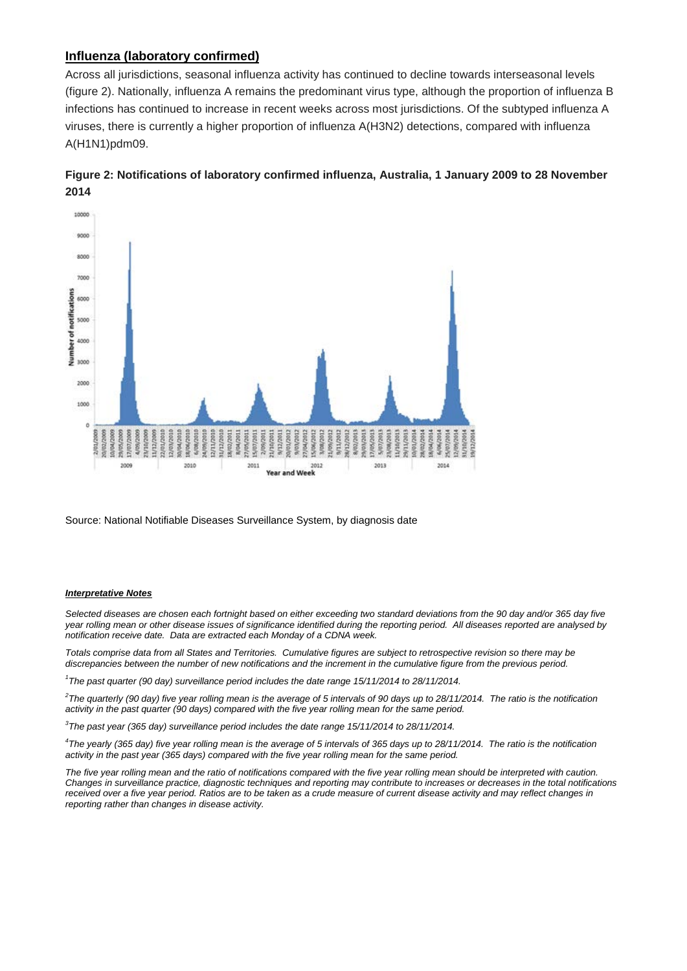## **Influenza (laboratory confirmed)**

Across all jurisdictions, seasonal influenza activity has continued to decline towards interseasonal levels (figure 2). Nationally, influenza A remains the predominant virus type, although the proportion of influenza B infections has continued to increase in recent weeks across most jurisdictions. Of the subtyped influenza A viruses, there is currently a higher proportion of influenza A(H3N2) detections, compared with influenza A(H1N1)pdm09.





Source: National Notifiable Diseases Surveillance System, by diagnosis date

### *Interpretative Notes*

*Selected diseases are chosen each fortnight based on either exceeding two standard deviations from the 90 day and/or 365 day five year rolling mean or other disease issues of significance identified during the reporting period. All diseases reported are analysed by notification receive date. Data are extracted each Monday of a CDNA week.*

*Totals comprise data from all States and Territories. Cumulative figures are subject to retrospective revision so there may be discrepancies between the number of new notifications and the increment in the cumulative figure from the previous period.*

*1 The past quarter (90 day) surveillance period includes the date range 15/11/2014 to 28/11/2014.* 

*2 The quarterly (90 day) five year rolling mean is the average of 5 intervals of 90 days up to 28/11/2014. The ratio is the notification activity in the past quarter (90 days) compared with the five year rolling mean for the same period.*

*3 The past year (365 day) surveillance period includes the date range 15/11/2014 to 28/11/2014.* 

*4 The yearly (365 day) five year rolling mean is the average of 5 intervals of 365 days up to 28/11/2014. The ratio is the notification activity in the past year (365 days) compared with the five year rolling mean for the same period.*

The five year rolling mean and the ratio of notifications compared with the five year rolling mean should be interpreted with caution. *Changes in surveillance practice, diagnostic techniques and reporting may contribute to increases or decreases in the total notifications received over a five year period. Ratios are to be taken as a crude measure of current disease activity and may reflect changes in reporting rather than changes in disease activity.*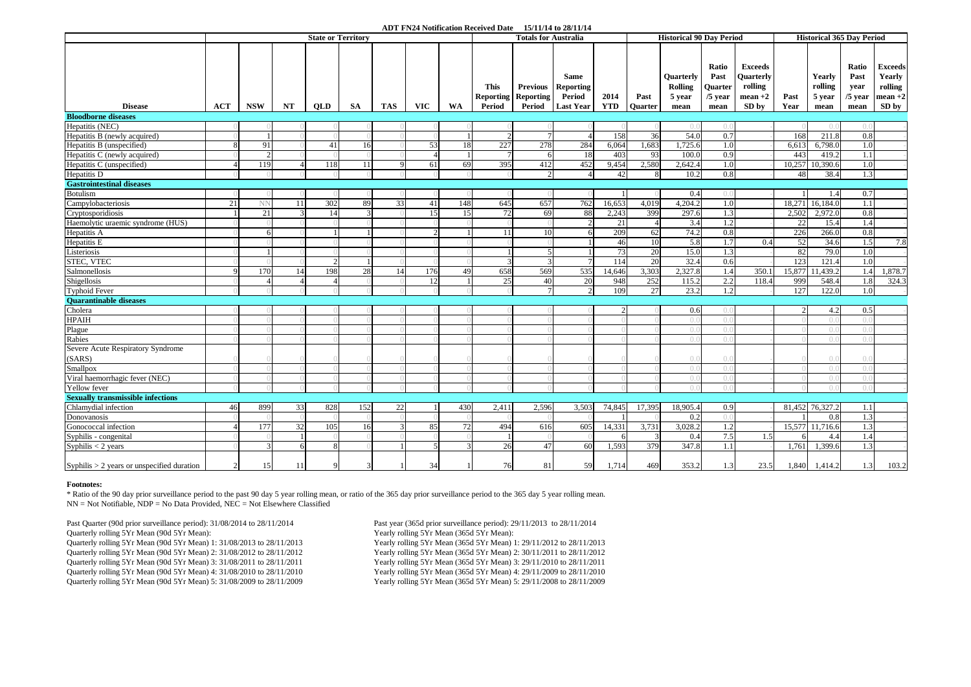#### **ADT FN24 Notification Received Date 15/11/14 to 28/11/14**

|                                              | <b>State or Territory</b> |              |    |            |           |     |            |     |                       | <b>Totals for Australia</b>                             |                                                               |                    |                        | <b>Historical 90 Day Period</b>               |                                               |                                                              | <b>Historical 365 Day Period</b> |                                     |                                            |                                                           |
|----------------------------------------------|---------------------------|--------------|----|------------|-----------|-----|------------|-----|-----------------------|---------------------------------------------------------|---------------------------------------------------------------|--------------------|------------------------|-----------------------------------------------|-----------------------------------------------|--------------------------------------------------------------|----------------------------------|-------------------------------------|--------------------------------------------|-----------------------------------------------------------|
| <b>Disease</b>                               | <b>ACT</b>                | <b>NSW</b>   | NT | <b>OLD</b> | <b>SA</b> | TAS | <b>VIC</b> | WA  | <b>This</b><br>Period | <b>Previous</b><br><b>Reporting Reporting</b><br>Period | <b>Same</b><br><b>Reporting</b><br>Period<br><b>Last Year</b> | 2014<br><b>YTD</b> | Past<br><b>Ouarter</b> | Ouarterly<br><b>Rolling</b><br>5 year<br>mean | Ratio<br>Past<br>Quarter<br>$/5$ year<br>mean | <b>Exceeds</b><br>Ouarterly<br>rolling<br>$mean +2$<br>SD by | Past<br>Year                     | Yearly<br>rolling<br>5 year<br>mean | Ratio<br>Past<br>year<br>$/5$ year<br>mean | <b>Exceeds</b><br>Yearly<br>rolling<br>$mean +2$<br>SD by |
| <b>Bloodborne diseases</b>                   |                           |              |    |            |           |     |            |     |                       |                                                         |                                                               |                    |                        |                                               |                                               |                                                              |                                  |                                     |                                            |                                                           |
| Hepatitis (NEC)                              |                           |              |    |            |           |     |            |     |                       |                                                         |                                                               |                    |                        | $\bigcap$                                     | $\left( \right)$ .                            |                                                              |                                  | ( ) . ( )                           | $\bigcap$                                  |                                                           |
| Hepatitis B (newly acquired)                 |                           | 1            |    |            |           |     |            |     | $\mathcal{D}$         | $\tau$                                                  | $\Delta$                                                      | 158                | 36                     | 54.0                                          | 0.7                                           |                                                              | 168                              | 211.8                               | 0.8                                        |                                                           |
| Hepatitis B (unspecified)                    |                           | 91           |    | 41         | 16        |     | 53         | 18  | 227                   | 278                                                     | 284                                                           | 6,064              | 1,683                  | ,725.6                                        | 1.0                                           |                                                              | 6,613                            | 6,798.0                             | 1.0                                        |                                                           |
| Hepatitis C (newly acquired)                 |                           |              |    |            |           |     |            |     |                       | 6                                                       | 18                                                            | 403                | 93                     | 100.0                                         | 0.9                                           |                                                              | 443                              | 419.2                               | 1.1                                        |                                                           |
| Hepatitis C (unspecified)                    | $\Lambda$                 | 119          |    | 118        | 11        |     | 61         | 69  | 395                   | 412                                                     | 452                                                           | 9,454              | 2,580                  | 2,642.4                                       | 1.0                                           |                                                              | 10,257                           | 10,390.6                            | 1.0                                        |                                                           |
| Hepatitis D                                  |                           |              |    |            |           |     |            |     |                       | $\mathcal{D}$                                           |                                                               | 42                 | 8                      | 10.2                                          | 0.8                                           |                                                              | 48                               | 38.4                                | 1.3                                        |                                                           |
| <b>Gastrointestinal diseases</b>             |                           |              |    |            |           |     |            |     |                       |                                                         |                                                               |                    |                        |                                               |                                               |                                                              |                                  |                                     |                                            |                                                           |
| <b>Botulism</b>                              |                           |              |    |            |           |     |            |     |                       |                                                         |                                                               |                    |                        | 0.4                                           | $($ .                                         |                                                              |                                  | 1.4                                 | 0.7                                        |                                                           |
| Campylobacteriosis                           | 21                        | <b>NN</b>    | 11 | 302        | 89        | 33  | 41         | 148 | 645                   | 657                                                     | 762                                                           | 16,653             | 4,019                  | 4,204.2                                       | 1.0                                           |                                                              |                                  | 18,271 16,184.0                     | 1.1                                        |                                                           |
| Cryptosporidiosis                            |                           | 21           |    |            |           |     | 15         | 15  | 72                    | 69                                                      | 88                                                            | 2.243              | 399                    | 297.6                                         | 1.3                                           |                                                              | 2.502                            | 2.972.0                             | 0.8                                        |                                                           |
| Haemolytic uraemic syndrome (HUS)            |                           |              |    |            |           |     |            |     |                       |                                                         |                                                               | 21                 | $\overline{4}$         | 3.4                                           | 1.2                                           |                                                              | 22                               | 15.4                                | 1.4                                        |                                                           |
| Hepatitis A                                  |                           | 6            |    |            |           |     |            |     | -11                   | <b>10</b>                                               | 6                                                             | 209                | 62                     | 74.2                                          | 0.8                                           |                                                              | 226                              | 266.0                               | 0.8                                        |                                                           |
| Hepatitis E                                  |                           |              |    |            |           |     |            |     |                       |                                                         |                                                               | 46                 | <sup>10</sup>          | 5.8                                           | 1.7                                           | 0.4                                                          | 52                               | 34.6                                | 1.5                                        | 7.8                                                       |
| Listeriosis                                  |                           |              |    |            |           |     |            |     |                       |                                                         |                                                               | 73                 | 20                     | 15.0                                          | 1.3                                           |                                                              | 82                               | 79.0                                | 1.0                                        |                                                           |
| STEC, VTEC                                   |                           |              |    |            |           |     |            |     |                       | 3                                                       |                                                               | 114                | 20                     | 32.4                                          | 0.6                                           |                                                              | 123                              | 121.4                               | 1.0                                        |                                                           |
| Salmonellosis                                |                           | 170          |    | 198        | 28        |     | 176        | 49  | 658                   | 569                                                     | 535                                                           | 14,646             | 3,303                  | 2,327.8                                       | 1.4                                           | 350.1                                                        | 15,877                           | 11,439.2                            | 1.4                                        | 1,878.7                                                   |
| Shigellosis                                  |                           |              |    |            |           |     | 12         |     | 25                    | 40                                                      | 20                                                            | 948                | 252                    | 115.2                                         | 2.2                                           | 118.4                                                        | 999                              | 548.4                               | 1.8                                        | 324.3                                                     |
| <b>Typhoid Fever</b>                         |                           |              |    |            |           |     |            |     |                       | $7\phantom{.0}$                                         | $\overline{2}$                                                | 109                | 27                     | 23.2                                          | 1.2                                           |                                                              | 127                              | 122.0                               | 1.0                                        |                                                           |
| <b>Ouarantinable diseases</b>                |                           |              |    |            |           |     |            |     |                       |                                                         |                                                               |                    |                        |                                               |                                               |                                                              |                                  |                                     |                                            |                                                           |
| Cholera                                      |                           |              |    |            |           |     |            |     |                       |                                                         |                                                               |                    |                        | 0.6                                           | (                                             |                                                              | $\mathfrak{2}$                   | 4.2                                 | 0.5                                        |                                                           |
| <b>HPAIH</b>                                 |                           |              |    |            |           |     |            |     |                       |                                                         |                                                               |                    |                        |                                               | $\bigcap$                                     |                                                              |                                  | $( )_{.} ( )$                       |                                            |                                                           |
| Plague                                       |                           |              |    |            |           |     |            |     |                       |                                                         |                                                               |                    |                        | $()$ .                                        | $\bigcirc$                                    |                                                              |                                  | ( ) . ( )                           |                                            |                                                           |
| Rabies                                       |                           |              |    |            |           |     |            |     |                       |                                                         |                                                               |                    |                        |                                               | $\left( \right)$                              |                                                              |                                  | $( )$ . $( )$                       |                                            |                                                           |
| Severe Acute Respiratory Syndrome            |                           |              |    |            |           |     |            |     |                       |                                                         |                                                               |                    |                        |                                               |                                               |                                                              |                                  |                                     |                                            |                                                           |
| (SARS)                                       |                           |              |    |            |           |     |            |     |                       |                                                         |                                                               |                    |                        | ( ) . ( )                                     | $()$ .                                        |                                                              |                                  | ( ) . ( )                           | $\bigcap$                                  |                                                           |
| Smallpox                                     |                           |              |    |            |           |     |            |     |                       |                                                         |                                                               |                    |                        | $\bigcap$                                     | $\bigcirc$                                    |                                                              |                                  | ( ) . ( )                           | $\bigcap$                                  |                                                           |
| Viral haemorrhagic fever (NEC)               |                           |              |    |            |           |     |            |     |                       |                                                         |                                                               |                    |                        | $\bigcap$                                     | $\bigcap$                                     |                                                              |                                  | ( ) . ( )                           | $\bigcap$                                  |                                                           |
| Yellow fever                                 |                           |              |    |            |           |     |            |     |                       |                                                         |                                                               |                    |                        | ()                                            | $\bigcap$                                     |                                                              |                                  | ( ) . ( )                           | $\bigcap$                                  |                                                           |
| <b>Sexually transmissible infections</b>     |                           |              |    |            |           |     |            |     |                       |                                                         |                                                               |                    |                        |                                               |                                               |                                                              |                                  |                                     |                                            |                                                           |
| Chlamydial infection                         | 46                        | 899          | 33 | 828        | 152       | 22  |            | 430 | 2,411                 | 2,596                                                   | 3,503                                                         | 74,845             | 17,395                 | 18,905.4                                      | 0.9                                           |                                                              |                                  | 81,452 76,327.2                     | 1.1                                        |                                                           |
| Donovanosis                                  |                           |              |    |            |           |     |            |     |                       |                                                         |                                                               |                    |                        | 0.2                                           | $()$ .                                        |                                                              |                                  | 0.8                                 | 1.3                                        |                                                           |
| Gonococcal infection                         |                           | 177          | 32 | 105        | 16        |     | 85         | 72  | 494                   | 616                                                     | 605                                                           | 14,331             | 3,731                  | 3,028.2                                       | 1.2                                           |                                                              |                                  | 15,577 11,716.6                     | 1.3                                        |                                                           |
| Syphilis - congenital                        |                           |              |    |            |           |     |            |     |                       |                                                         |                                                               | 6                  | 3                      | 0.4                                           | 7.5                                           | 1.5                                                          | -61                              | 4.4                                 | 1.4                                        |                                                           |
| Syphilis $<$ 2 years                         |                           | $\mathbf{3}$ |    |            |           |     |            |     | 26                    | 47                                                      | 60                                                            | 1,593              | 379                    | 347.8                                         | -1.1                                          |                                                              | 1,761                            | 1,399.6                             | 1.3                                        |                                                           |
| Syphilis $> 2$ years or unspecified duration | $\overline{c}$            | 15           | 11 | 9          |           |     | 34         |     | 76                    | 81                                                      | 59                                                            | 1,714              | 469                    | 353.2                                         | 1.3                                           | 23.5                                                         | 1,840                            | 1,414.2                             | 1.3                                        | 103.2                                                     |

#### **Footnotes:**

\* Ratio of the 90 day prior surveillance period to the past 90 day 5 year rolling mean, or ratio of the 365 day prior surveillance period to the 365 day 5 year rolling mean. NN = Not Notifiable, NDP = No Data Provided, NEC = Not Elsewhere Classified

Past Quarter (90d prior surveillance period): 31/08/2014 to 28/11/2014 Past year (365d prior surveillance period): 29/11/2013 to 28/11/2014<br>
Past year (365d prior surveillance period): 29/11/2014<br>
Yearly rolling 5Yr Mean ( Quarterly rolling 5Yr Mean (90d 5Yr Mean): Quarterly rolling 5Yr Mean (90d 5Yr Mean) 1: 31/08/2013 to 28/11/2013 Yearly rolling 5Yr Mean (365d 5Yr Mean) 1: 29/11/2012 to 28/11/2013 Quarterly rolling 5Yr Mean (90d 5Yr Mean) 2: 31/08/2012 to 28/11/2012 Yearly rolling 5Yr Mean (365d 5Yr Mean) 2: 30/11/2011 to 28/11/2012 Quarterly rolling 5Yr Mean (90d 5Yr Mean) 3: 31/08/2011 to 28/11/2011 Yearly rolling 5Yr Mean (365d 5Yr Mean) 3: 29/11/2010 to 28/11/2011 Quarterly rolling 5Yr Mean (90d 5Yr Mean) 4: 31/08/2010 to 28/11/2010 Yearly rolling 5Yr Mean (365d 5Yr Mean) 4: 29/11/2009 to 28/11/2010 Quarterly rolling 5Yr Mean (90d 5Yr Mean) 5:  $31/08/2009$  to  $28/11/2009$